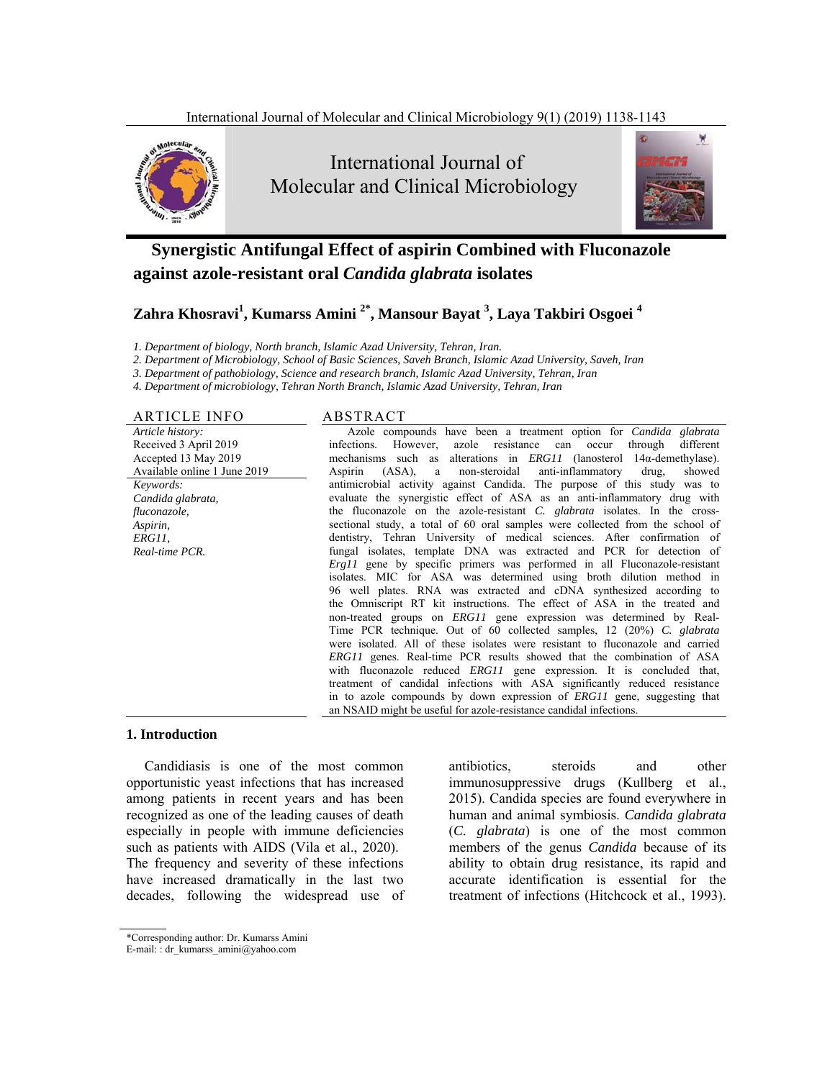

 International Journal of Molecular and Clinical Microbiology



# **Synergistic Antifungal Effect of aspirin Combined with Fluconazole against azole-resistant oral** *Candida glabrata* **isolates**

# **Zahra Khosravi1 , Kumarss Amini 2\*, Mansour Bayat 3 , Laya Takbiri Osgoei <sup>4</sup>**

*1. Department of biology, North branch, Islamic Azad University, Tehran, Iran.* 

*2. Department of Microbiology, School of Basic Sciences, Saveh Branch, Islamic Azad University, Saveh, Iran* 

*3. Department of pathobiology, Science and research branch, Islamic Azad University, Tehran, Iran* 

*4. Department of microbiology, Tehran North Branch, Islamic Azad University, Tehran, Iran*

#### ARTICLE INFO ABSTRACT

#### *Article history:*  Received 3 April 2019 Accepted 13 May 2019 Available online 1 June 2019 *Keywords: Candida glabrata, fluconazole, Aspirin, ERG11, Real-time PCR.*

Azole compounds have been a treatment option for *Candida glabrata* infections. However, azole resistance can occur through different mechanisms such as alterations in *ERG11* (lanosterol 14α-demethylase).<br>Aspirin (ASA), a non-steroidal anti-inflammatory drug, showed (ASA), a non-steroidal anti-inflammatory drug, showed antimicrobial activity against Candida. The purpose of this study was to evaluate the synergistic effect of ASA as an anti-inflammatory drug with the fluconazole on the azole-resistant *C. glabrata* isolates. In the crosssectional study, a total of 60 oral samples were collected from the school of dentistry, Tehran University of medical sciences. After confirmation of fungal isolates, template DNA was extracted and PCR for detection of *Erg11* gene by specific primers was performed in all Fluconazole-resistant isolates. MIC for ASA was determined using broth dilution method in 96well plates. RNA was extracted and cDNA synthesized according to the Omniscript RT kit instructions. The effect of ASA in the treated and non-treated groups on *ERG11* gene expression was determined by Real-Time PCR technique. Out of 60 collected samples, 12 (20%) *C. glabrata* were isolated. All of these isolates were resistant to fluconazole and carried *ERG11* genes. Real-time PCR results showed that the combination of ASA with fluconazole reduced *ERG11* gene expression. It is concluded that, treatment of candidal infections with ASA significantly reduced resistance in to azole compounds by down expression of *ERG11* gene, suggesting that an NSAID might be useful for azole-resistance candidal infections.

#### **1. Introduction**

Candidiasis is one of the most common opportunistic yeast infections that has increased among patients in recent years and has been recognized as one of the leading causes of death especially in people with immune deficiencies such as patients with AIDS (Vila et al., 2020). The frequency and severity of these infections have increased dramatically in the last two decades, following the widespread use of antibiotics, steroids and other immunosuppressive drugs (Kullberg et al., 2015). Candida species are found everywhere in human and animal symbiosis. *Candida glabrata* (*C. glabrata*) is one of the most common members of the genus *Candida* because of its ability to obtain drug resistance, its rapid and accurate identification is essential for the treatment of infections (Hitchcock et al., 1993).

<sup>\*</sup>Corresponding author: Dr. Kumarss Amini

E-mail: : dr\_kumarss\_amini@yahoo.com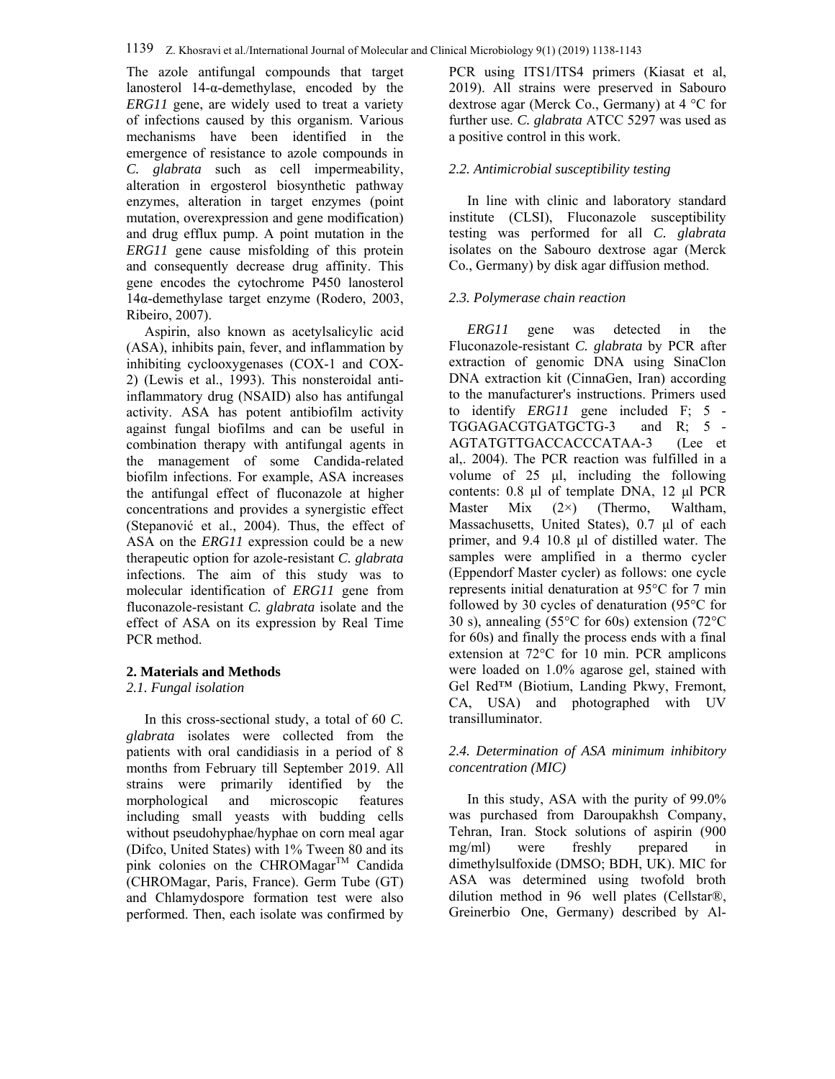The azole antifungal compounds that target lanosterol 14-α-demethylase, encoded by the *ERG11* gene, are widely used to treat a variety of infections caused by this organism. Various mechanisms have been identified in the emergence of resistance to azole compounds in *C. glabrata* such as cell impermeability, alteration in ergosterol biosynthetic pathway enzymes, alteration in target enzymes (point mutation, overexpression and gene modification) and drug efflux pump. A point mutation in the *ERG11* gene cause misfolding of this protein and consequently decrease drug affinity. This gene encodes the cytochrome P450 lanosterol 14α-demethylase target enzyme (Rodero, 2003, Ribeiro, 2007).

Aspirin, also known as acetylsalicylic acid (ASA), inhibits pain, fever, and inflammation by inhibiting cyclooxygenases (COX-1 and COX-2) (Lewis et al., 1993). This nonsteroidal antiinflammatory drug (NSAID) also has antifungal activity. ASA has potent antibiofilm activity against fungal biofilms and can be useful in combination therapy with antifungal agents in the management of some Candida-related biofilm infections. For example, ASA increases the antifungal effect of fluconazole at higher concentrations and provides a synergistic effect (Stepanović et al., 2004). Thus, the effect of ASA on the *ERG11* expression could be a new therapeutic option for azole-resistant *C. glabrata* infections. The aim of this study was to molecular identification of *ERG11* gene from fluconazole-resistant *C. glabrata* isolate and the effect of ASA on its expression by Real Time PCR method.

#### **2. Materials and Methods**

#### *2.1. Fungal isolation*

In this cross-sectional study, a total of 60 *C. glabrata* isolates were collected from the patients with oral candidiasis in a period of 8 months from February till September 2019. All strains were primarily identified by the morphological and microscopic features including small yeasts with budding cells without pseudohyphae/hyphae on corn meal agar (Difco, United States) with 1% Tween 80 and its pink colonies on the CHROMagar<sup>TM</sup> Candida (CHROMagar, Paris, France). Germ Tube (GT) and Chlamydospore formation test were also performed. Then, each isolate was confirmed by PCR using ITS1/ITS4 primers (Kiasat et al, 2019). All strains were preserved in Sabouro dextrose agar (Merck Co., Germany) at 4 °C for further use. *C. glabrata* ATCC 5297 was used as a positive control in this work.

#### *2.2. Antimicrobial susceptibility testing*

In line with clinic and laboratory standard institute (CLSI), Fluconazole susceptibility testing was performed for all *C. glabrata* isolates on the Sabouro dextrose agar (Merck Co., Germany) by disk agar diffusion method.

#### *2.3. Polymerase chain reaction*

*ERG11* gene was detected in the Fluconazole-resistant *C. glabrata* by PCR after extraction of genomic DNA using SinaClon DNA extraction kit (CinnaGen, Iran) according to the manufacturer's instructions. Primers used to identify *ERG11* gene included F; 5 - TGGAGACGTGATGCTG-3 and R; 5 - AGTATGTTGACCACCCATAA-3 (Lee et al,. 2004). The PCR reaction was fulfilled in a volume of 25 μl, including the following contents: 0.8 μl of template DNA, 12 μl PCR Master Mix (2×) (Thermo, Waltham, Massachusetts, United States), 0.7 μl of each primer, and 9.4 10.8 μl of distilled water. The samples were amplified in a thermo cycler (Eppendorf Master cycler) as follows: one cycle represents initial denaturation at 95°C for 7 min followed by 30 cycles of denaturation (95°C for 30 s), annealing (55°C for 60s) extension (72°C for 60s) and finally the process ends with a final extension at 72°C for 10 min. PCR amplicons were loaded on 1.0% agarose gel, stained with Gel Red™ (Biotium, Landing Pkwy, Fremont, CA, USA) and photographed with UV transilluminator.

#### *2.4. Determination of ASA minimum inhibitory concentration (MIC)*

In this study, ASA with the purity of 99.0% was purchased from Daroupakhsh Company, Tehran, Iran. Stock solutions of aspirin (900 mg/ml) were freshly prepared in dimethylsulfoxide (DMSO; BDH, UK). MIC for ASA was determined using twofold broth dilution method in 96 well plates (Cellstar®, Greinerbio One, Germany) described by Al-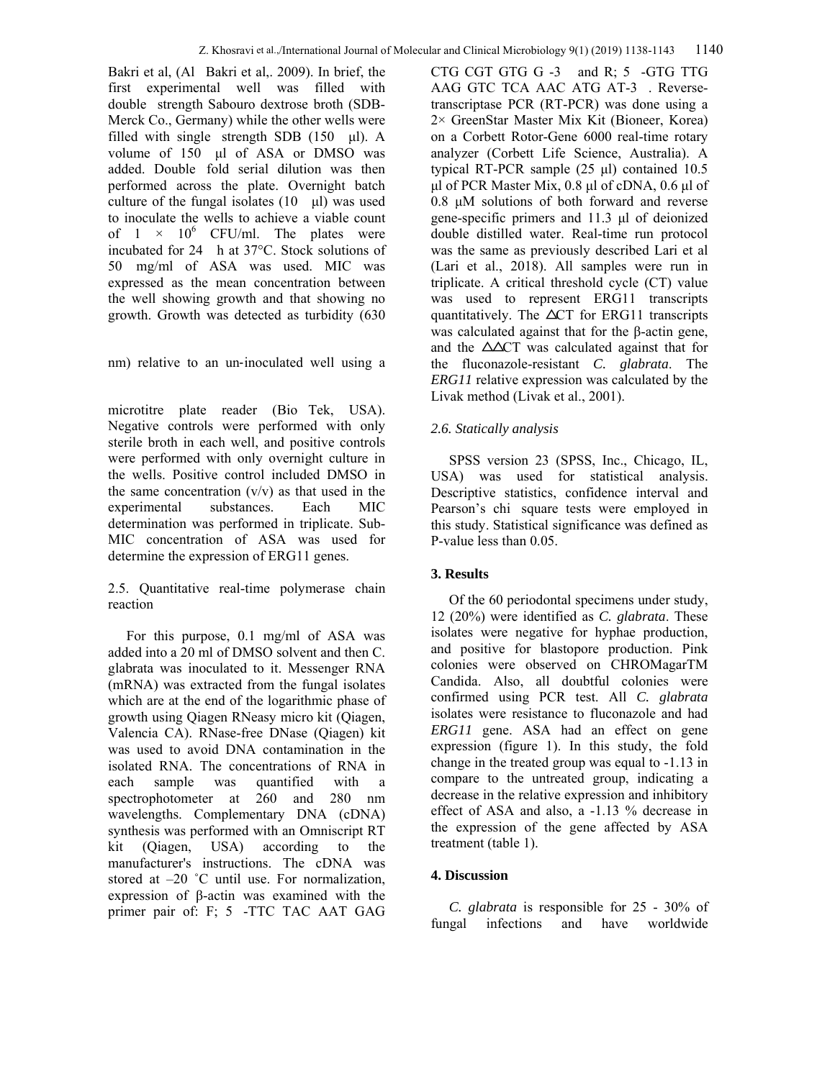Bakri et al, (Al Bakri et al,. 2009). In brief, the first experimental well was filled with double strength Sabouro dextrose broth (SDB-Merck Co., Germany) while the other wells were filled with single strength SDB  $(150 \text{ µl})$ . A volume of 150 μl of ASA or DMSO was added. Double fold serial dilution was then performed across the plate. Overnight batch culture of the fungal isolates  $(10 \text{ }\mu\text{)}$  was used to inoculate the wells to achieve a viable count of  $1 \times 10^6$  CFU/ml. The plates were incubated for 24 h at 37°C. Stock solutions of 50 mg/ml of ASA was used. MIC was expressed as the mean concentration between the well showing growth and that showing no growth. Growth was detected as turbidity (630

nm) relative to an un-inoculated well using a

microtitre plate reader (Bio Tek, USA). Negative controls were performed with only sterile broth in each well, and positive controls were performed with only overnight culture in the wells. Positive control included DMSO in the same concentration  $(v/v)$  as that used in the experimental substances. Each MIC determination was performed in triplicate. Sub-MIC concentration of ASA was used for determine the expression of ERG11 genes.

2.5. Quantitative real-time polymerase chain reaction

For this purpose, 0.1 mg/ml of ASA was added into a 20 ml of DMSO solvent and then C. glabrata was inoculated to it. Messenger RNA (mRNA) was extracted from the fungal isolates which are at the end of the logarithmic phase of growth using Qiagen RNeasy micro kit (Qiagen, Valencia CA). RNase-free DNase (Qiagen) kit was used to avoid DNA contamination in the isolated RNA. The concentrations of RNA in each sample was quantified with a spectrophotometer at 260 and 280 nm wavelengths. Complementary DNA (cDNA) synthesis was performed with an Omniscript RT kit (Qiagen, USA) according to the manufacturer's instructions. The cDNA was stored at –20 ˚C until use. For normalization, expression of β-actin was examined with the primer pair of: F; 5 -TTC TAC AAT GAG

CTG CGT GTG G -3 and R; 5 -GTG TTG AAG GTC TCA AAC ATG AT-3 . Reversetranscriptase PCR (RT-PCR) was done using a 2× GreenStar Master Mix Kit (Bioneer, Korea) on a Corbett Rotor-Gene 6000 real-time rotary analyzer (Corbett Life Science, Australia). A typical RT-PCR sample (25 μl) contained 10.5 μl of PCR Master Mix, 0.8 μl of cDNA, 0.6 μl of 0.8 μM solutions of both forward and reverse gene-specific primers and 11.3 μl of deionized double distilled water. Real-time run protocol was the same as previously described Lari et al (Lari et al., 2018). All samples were run in triplicate. A critical threshold cycle (CT) value was used to represent ERG11 transcripts quantitatively. The  $\Delta CT$  for ERG11 transcripts was calculated against that for the β-actin gene, and the  $\triangle \triangle CT$  was calculated against that for the fluconazole-resistant *C. glabrata*. The *ERG11* relative expression was calculated by the Livak method (Livak et al., 2001).

## *2.6. Statically analysis*

SPSS version 23 (SPSS, Inc., Chicago, IL, USA) was used for statistical analysis. Descriptive statistics, confidence interval and Pearson's chi square tests were employed in this study. Statistical significance was defined as P-value less than 0.05.

## **3. Results**

Of the 60 periodontal specimens under study, 12 (20%) were identified as *C. glabrata*. These isolates were negative for hyphae production, and positive for blastopore production. Pink colonies were observed on CHROMagarTM Candida. Also, all doubtful colonies were confirmed using PCR test. All *C. glabrata* isolates were resistance to fluconazole and had *ERG11* gene. ASA had an effect on gene expression (figure 1). In this study, the fold change in the treated group was equal to -1.13 in compare to the untreated group, indicating a decrease in the relative expression and inhibitory effect of ASA and also, a -1.13 % decrease in the expression of the gene affected by ASA treatment (table 1).

## **4. Discussion**

*C. glabrata* is responsible for 25 - 30% of fungal infections and have worldwide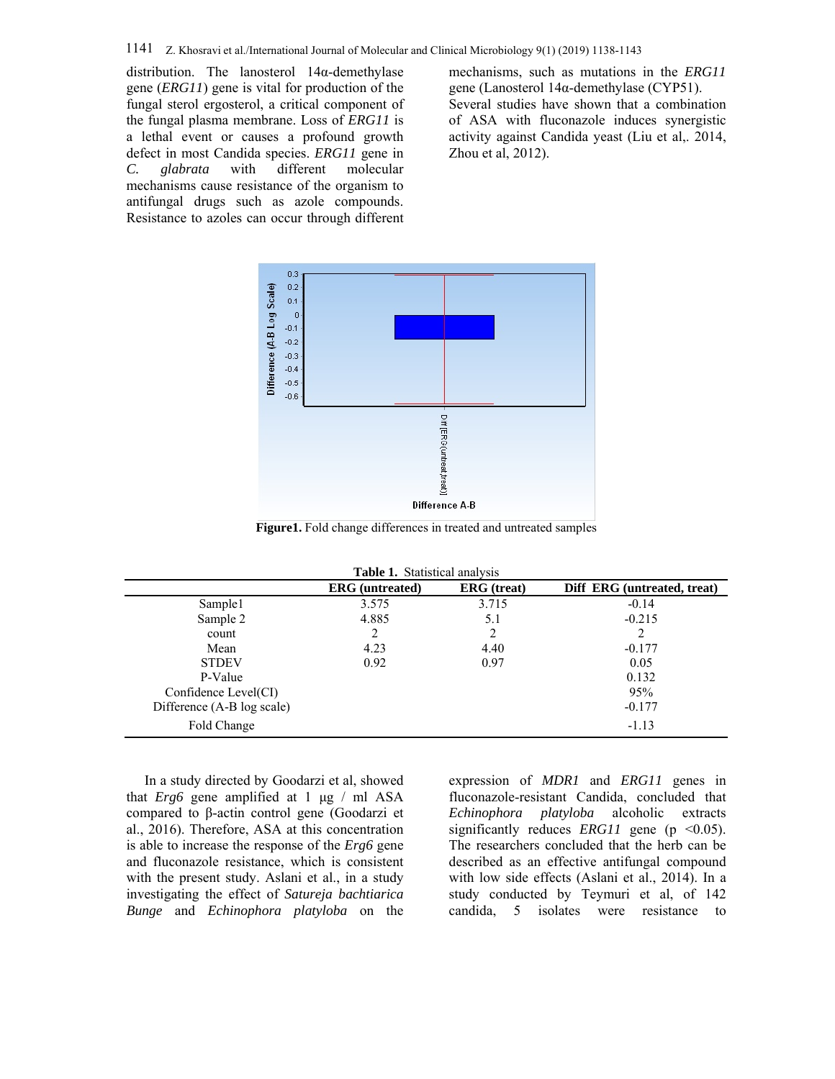distribution. The lanosterol 14α-demethylase gene (*ERG11*) gene is vital for production of the fungal sterol ergosterol, a critical component of the fungal plasma membrane. Loss of *ERG11* is a lethal event or causes a profound growth defect in most Candida species. *ERG11* gene in *C. glabrata* with different molecular mechanisms cause resistance of the organism to antifungal drugs such as azole compounds. Resistance to azoles can occur through different

mechanisms, such as mutations in the *ERG11* gene (Lanosterol 14α-demethylase (CYP51). Several studies have shown that a combination of ASA with fluconazole induces synergistic activity against Candida yeast (Liu et al,. 2014, Zhou et al, 2012).



**Figure1.** Fold change differences in treated and untreated samples

| Table 1. Statistical analysis |  |  |
|-------------------------------|--|--|
|-------------------------------|--|--|

|                            | <b>ERG</b> (untreated) | <b>ERG</b> (treat) | Diff ERG (untreated, treat) |
|----------------------------|------------------------|--------------------|-----------------------------|
| Sample1                    | 3.575                  | 3.715              | $-0.14$                     |
| Sample 2                   | 4.885                  | 5.1                | $-0.215$                    |
| count                      | 2                      | 2                  | $\overline{2}$              |
| Mean                       | 4.23                   | 4.40               | $-0.177$                    |
| <b>STDEV</b>               | 0.92                   | 0.97               | 0.05                        |
| P-Value                    |                        |                    | 0.132                       |
| Confidence Level(CI)       |                        |                    | 95%                         |
| Difference (A-B log scale) |                        |                    | $-0.177$                    |
| Fold Change                |                        |                    | $-1.13$                     |

In a study directed by Goodarzi et al, showed that *Erg6* gene amplified at 1 μg / ml ASA compared to β-actin control gene (Goodarzi et al., 2016). Therefore, ASA at this concentration is able to increase the response of the *Erg6* gene and fluconazole resistance, which is consistent with the present study. Aslani et al., in a study investigating the effect of *Satureja bachtiarica Bunge* and *Echinophora platyloba* on the expression of *MDR1* and *ERG11* genes in fluconazole-resistant Candida, concluded that *Echinophora platyloba* alcoholic extracts significantly reduces *ERG11* gene ( $p \le 0.05$ ). The researchers concluded that the herb can be described as an effective antifungal compound with low side effects (Aslani et al., 2014). In a study conducted by Teymuri et al, of 142 candida, 5 isolates were resistance to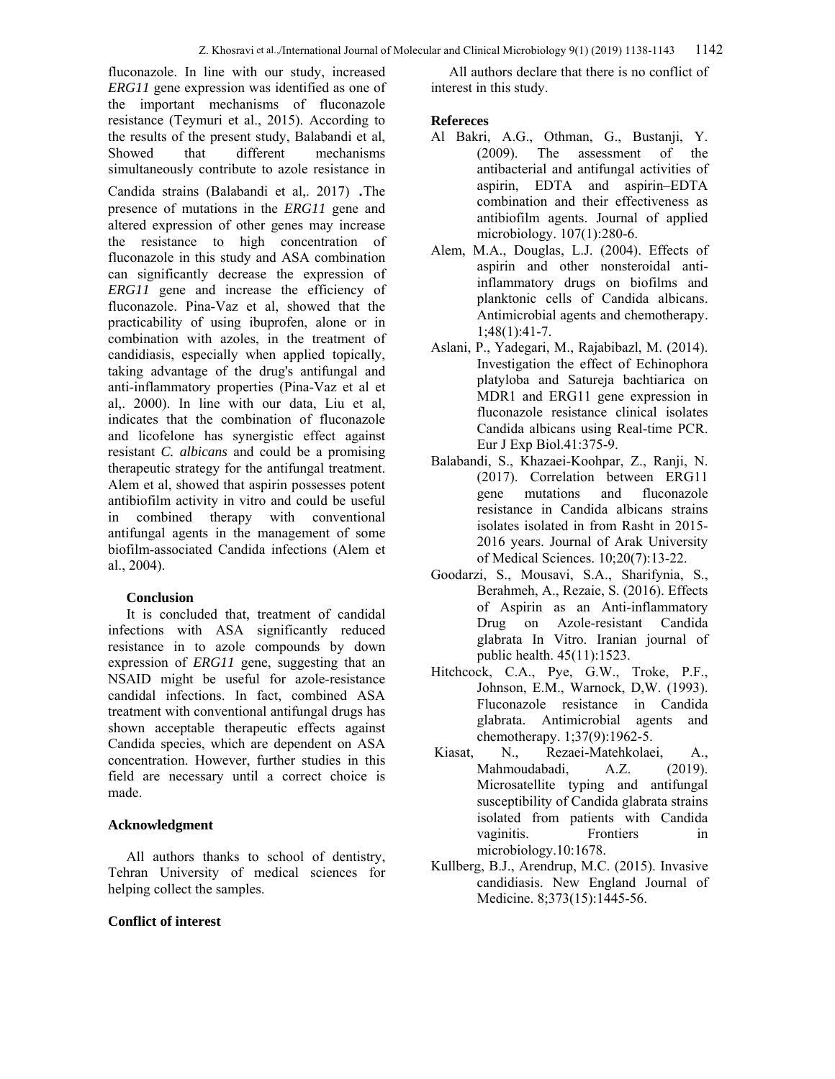fluconazole. In line with our study, increased *ERG11* gene expression was identified as one of the important mechanisms of fluconazole resistance (Teymuri et al., 2015). According to the results of the present study, Balabandi et al, Showed that different mechanisms simultaneously contribute to azole resistance in

Candida strains (Balabandi et al,. 2017) .The presence of mutations in the *ERG11* gene and altered expression of other genes may increase the resistance to high concentration of fluconazole in this study and ASA combination can significantly decrease the expression of *ERG11* gene and increase the efficiency of fluconazole. Pina-Vaz et al, showed that the practicability of using ibuprofen, alone or in combination with azoles, in the treatment of candidiasis, especially when applied topically, taking advantage of the drug's antifungal and anti-inflammatory properties (Pina-Vaz et al et al,. 2000). In line with our data, Liu et al, indicates that the combination of fluconazole and licofelone has synergistic effect against resistant *C. albicans* and could be a promising therapeutic strategy for the antifungal treatment. Alem et al, showed that aspirin possesses potent antibiofilm activity in vitro and could be useful in combined therapy with conventional antifungal agents in the management of some biofilm-associated Candida infections (Alem et al., 2004).

## **Conclusion**

It is concluded that, treatment of candidal infections with ASA significantly reduced resistance in to azole compounds by down expression of *ERG11* gene, suggesting that an NSAID might be useful for azole-resistance candidal infections. In fact, combined ASA treatment with conventional antifungal drugs has shown acceptable therapeutic effects against Candida species, which are dependent on ASA concentration. However, further studies in this field are necessary until a correct choice is made.

## **Acknowledgment**

All authors thanks to school of dentistry, Tehran University of medical sciences for helping collect the samples.

#### **Conflict of interest**

All authors declare that there is no conflict of interest in this study.

## **Refereces**

- AlBakri, A.G., Othman, G., Bustanji, Y. (2009). The assessment of the antibacterial and antifungal activities of aspirin, EDTA and aspirin–EDTA combination and their effectiveness as antibiofilm agents. Journal of applied microbiology. 107(1):280-6.
- Alem, M.A., Douglas, L.J. (2004). Effects of aspirin and other nonsteroidal antiinflammatory drugs on biofilms and planktonic cells of Candida albicans. Antimicrobial agents and chemotherapy. 1;48(1):41-7.
- Aslani, P., Yadegari, M., Rajabibazl, M. (2014). Investigation the effect of Echinophora platyloba and Satureja bachtiarica on MDR1 and ERG11 gene expression in fluconazole resistance clinical isolates Candida albicans using Real-time PCR. Eur J Exp Biol.41:375-9.
- Balabandi, S., Khazaei-Koohpar, Z., Ranji, N. (2017). Correlation between ERG11 gene mutations and fluconazole resistance in Candida albicans strains isolates isolated in from Rasht in 2015- 2016 years. Journal of Arak University of Medical Sciences. 10;20(7):13-22.
- Goodarzi, S., Mousavi, S.A., Sharifynia, S., Berahmeh, A., Rezaie, S. (2016). Effects of Aspirin as an Anti-inflammatory Drug on Azole-resistant Candida glabrata In Vitro. Iranian journal of public health. 45(11):1523.
- Hitchcock, C.A., Pye, G.W., Troke, P.F., Johnson, E.M., Warnock, D,W. (1993). Fluconazole resistance in Candida glabrata. Antimicrobial agents and chemotherapy. 1;37(9):1962-5.
- Kiasat, N., Rezaei-Matehkolaei, A., Mahmoudabadi, A.Z. (2019). Microsatellite typing and antifungal susceptibility of Candida glabrata strains isolated from patients with Candida vaginitis. Frontiers in microbiology.10:1678.
- Kullberg, B.J., Arendrup, M.C. (2015). Invasive candidiasis. New England Journal of Medicine. 8;373(15):1445-56.